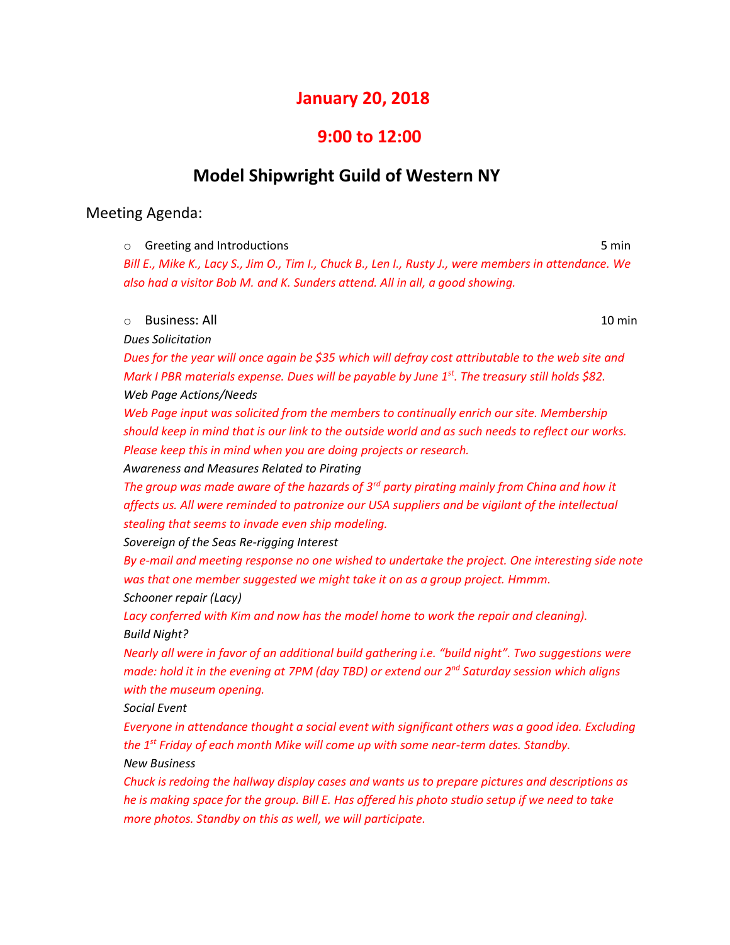# **January 20, 2018**

### **9:00 to 12:00**

# **Model Shipwright Guild of Western NY**

### Meeting Agenda:

o Greeting and Introductions **5 min** 

*Bill E., Mike K., Lacy S., Jim O., Tim I., Chuck B., Len I., Rusty J., were members in attendance. We also had a visitor Bob M. and K. Sunders attend. All in all, a good showing.*

#### o Business: All 10 min

*Dues Solicitation*

*Dues for the year will once again be \$35 which will defray cost attributable to the web site and Mark I PBR materials expense. Dues will be payable by June 1st. The treasury still holds \$82. Web Page Actions/Needs*

*Web Page input was solicited from the members to continually enrich our site. Membership should keep in mind that is our link to the outside world and as such needs to reflect our works. Please keep this in mind when you are doing projects or research.*

*Awareness and Measures Related to Pirating*

*The group was made aware of the hazards of 3rd party pirating mainly from China and how it affects us. All were reminded to patronize our USA suppliers and be vigilant of the intellectual stealing that seems to invade even ship modeling.*

*Sovereign of the Seas Re-rigging Interest*

*By e-mail and meeting response no one wished to undertake the project. One interesting side note was that one member suggested we might take it on as a group project. Hmmm. Schooner repair (Lacy)*

*Lacy conferred with Kim and now has the model home to work the repair and cleaning). Build Night?*

*Nearly all were in favor of an additional build gathering i.e. "build night". Two suggestions were made: hold it in the evening at 7PM (day TBD) or extend our 2 nd Saturday session which aligns with the museum opening.*

*Social Event*

*Everyone in attendance thought a social event with significant others was a good idea. Excluding the 1st Friday of each month Mike will come up with some near-term dates. Standby. New Business*

*Chuck is redoing the hallway display cases and wants us to prepare pictures and descriptions as he is making space for the group. Bill E. Has offered his photo studio setup if we need to take more photos. Standby on this as well, we will participate.*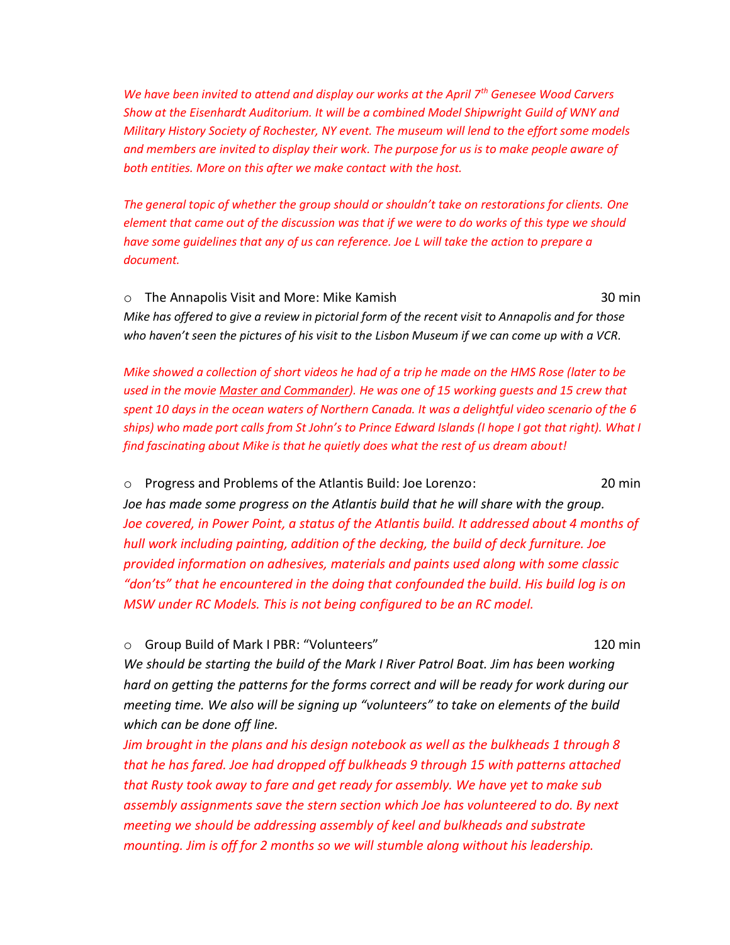*We have been invited to attend and display our works at the April 7th Genesee Wood Carvers Show at the Eisenhardt Auditorium. It will be a combined Model Shipwright Guild of WNY and Military History Society of Rochester, NY event. The museum will lend to the effort some models and members are invited to display their work. The purpose for us is to make people aware of both entities. More on this after we make contact with the host.*

*The general topic of whether the group should or shouldn't take on restorations for clients. One element that came out of the discussion was that if we were to do works of this type we should have some guidelines that any of us can reference. Joe L will take the action to prepare a document.*

o The Annapolis Visit and More: Mike Kamish 30 min *Mike has offered to give a review in pictorial form of the recent visit to Annapolis and for those who haven't seen the pictures of his visit to the Lisbon Museum if we can come up with a VCR.*

*Mike showed a collection of short videos he had of a trip he made on the HMS Rose (later to be used in the movie Master and Commander). He was one of 15 working guests and 15 crew that spent 10 days in the ocean waters of Northern Canada. It was a delightful video scenario of the 6 ships) who made port calls from St John's to Prince Edward Islands (I hope I got that right). What I find fascinating about Mike is that he quietly does what the rest of us dream about!*

o Progress and Problems of the Atlantis Build: Joe Lorenzo: 20 min *Joe has made some progress on the Atlantis build that he will share with the group. Joe covered, in Power Point, a status of the Atlantis build. It addressed about 4 months of hull work including painting, addition of the decking, the build of deck furniture. Joe provided information on adhesives, materials and paints used along with some classic "don'ts" that he encountered in the doing that confounded the build. His build log is on MSW under RC Models. This is not being configured to be an RC model.*

o Group Build of Mark I PBR: "Volunteers" 120 min

*We should be starting the build of the Mark I River Patrol Boat. Jim has been working hard on getting the patterns for the forms correct and will be ready for work during our meeting time. We also will be signing up "volunteers" to take on elements of the build which can be done off line.*

*Jim brought in the plans and his design notebook as well as the bulkheads 1 through 8 that he has fared. Joe had dropped off bulkheads 9 through 15 with patterns attached that Rusty took away to fare and get ready for assembly. We have yet to make sub assembly assignments save the stern section which Joe has volunteered to do. By next meeting we should be addressing assembly of keel and bulkheads and substrate mounting. Jim is off for 2 months so we will stumble along without his leadership.*